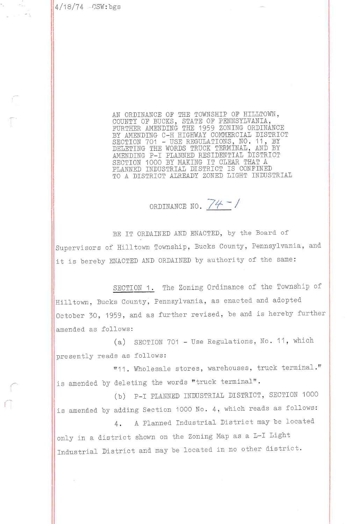$4/18/74$   $-SSW:bgs$ 

AN ORDINANCE OF THE TOWNSHIP OF HILLTOWN,<br>COUNTY OF BUCKS, STATE OF PENNSYLVANIA,<br>FURTHER AMENDING THE 1959 ZONING ORDINANCE<br>BY AMENDING C-H HIGHWAY COMMERCIAL DISTRICT<br>SECTION 701 - USE REGULATIONS, NO. 11, BY<br>DELETING TH AMENDING P-I PLANNED RESIDENTIAL DISTRICT<br>SECTION 1000 BY MAKING IT CLEAR THAT A PLANNED INDUSTRIAL DISTRICT IS CONFINED TO A DISTRICT ALREADY ZONED LIGHT INDUSTRIAL

ORDINANCE NO. 74 - /

BE IT ORDAINED AND ENACTED, by the Board of Supervisors of Hilltown Township, Bucks County, Pennsylvania, and it is bereby ENACTED AND ORDAINED by authority of the same:

SECTION 1. The Zoning Ordinance of the Township of Hilltown, Bucks County, Pennsylvania, as enacted and adopted October 30, 1959, and as further revised, be and is hereby further amended as follows:

(a) SECTION 701 - Use Regulations, No. 11, which presently reads as follows:

"11. Wholesale stores, warehouses, truck terminal." is amended by deleting the words "truck terminal".

(b) P-I PLANNED INDUSTRIAL DISTRICT, SECTION 1000 is amended by adding Section 1000 No. 4, which reads as follows:

A Planned Industrial District may be located  $4.$ only in a district shown on the Zoning Map as a L-I Light Industrial District and may be located in no other district.